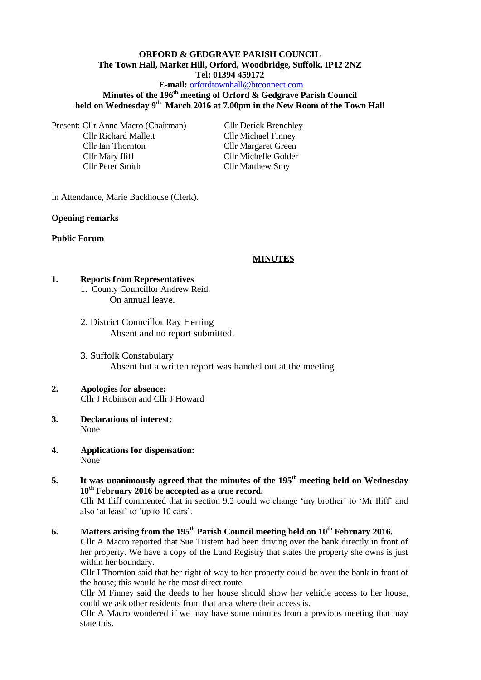# **ORFORD & GEDGRAVE PARISH COUNCIL The Town Hall, Market Hill, Orford, Woodbridge, Suffolk. IP12 2NZ Tel: 01394 459172**

### **E-mail:** [orfordtownhall@btconnect.com](mailto:orfordtownhall@btconnect.com)

# **Minutes of the 196th meeting of Orford & Gedgrave Parish Council held on Wednesday 9th March 2016 at 7.00pm in the New Room of the Town Hall**

Present: Cllr Anne Macro (Chairman) Cllr Derick Brenchley Cllr Richard Mallett Cllr Michael Finney Cllr Ian Thornton Cllr Margaret Green Cllr Mary Iliff Cllr Michelle Golder Cllr Peter Smith Cllr Matthew Smy

In Attendance, Marie Backhouse (Clerk).

#### **Opening remarks**

#### **Public Forum**

#### **MINUTES**

#### **1. Reports from Representatives**

- 1. County Councillor Andrew Reid. On annual leave.
- 2. District Councillor Ray Herring Absent and no report submitted.
- 3. Suffolk Constabulary Absent but a written report was handed out at the meeting.

#### **2. Apologies for absence:** Cllr J Robinson and Cllr J Howard

- **3. Declarations of interest:**  None
- **4. Applications for dispensation:** None
- **5. It was unanimously agreed that the minutes of the 195th meeting held on Wednesday 10th February 2016 be accepted as a true record.** Cllr M Iliff commented that in section 9.2 could we change 'my brother' to 'Mr Iliff' and also 'at least' to 'up to 10 cars'.

# **6. Matters arising from the 195th Parish Council meeting held on 10th February 2016.**

Cllr A Macro reported that Sue Tristem had been driving over the bank directly in front of her property. We have a copy of the Land Registry that states the property she owns is just within her boundary.

Cllr I Thornton said that her right of way to her property could be over the bank in front of the house; this would be the most direct route.

Cllr M Finney said the deeds to her house should show her vehicle access to her house, could we ask other residents from that area where their access is.

Cllr A Macro wondered if we may have some minutes from a previous meeting that may state this.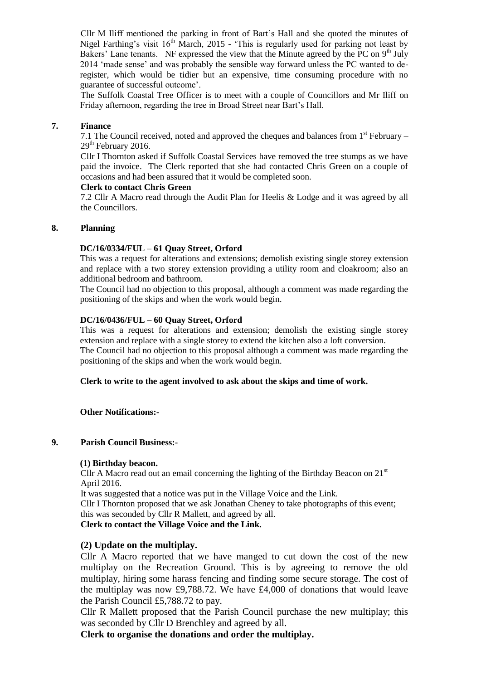Cllr M Iliff mentioned the parking in front of Bart's Hall and she quoted the minutes of Nigel Farthing's visit  $16<sup>th</sup>$  March, 2015 - 'This is regularly used for parking not least by Bakers' Lane tenants. NF expressed the view that the Minute agreed by the  $\overline{PC}$  on  $9<sup>th</sup>$  July 2014 'made sense' and was probably the sensible way forward unless the PC wanted to deregister, which would be tidier but an expensive, time consuming procedure with no guarantee of successful outcome'.

The Suffolk Coastal Tree Officer is to meet with a couple of Councillors and Mr Iliff on Friday afternoon, regarding the tree in Broad Street near Bart's Hall.

#### **7. Finance**

7.1 The Council received, noted and approved the cheques and balances from  $1<sup>st</sup>$  February –  $29<sup>th</sup>$  February 2016.

Cllr I Thornton asked if Suffolk Coastal Services have removed the tree stumps as we have paid the invoice. The Clerk reported that she had contacted Chris Green on a couple of occasions and had been assured that it would be completed soon.

#### **Clerk to contact Chris Green**

7.2 Cllr A Macro read through the Audit Plan for Heelis & Lodge and it was agreed by all the Councillors.

### **8. Planning**

#### **DC/16/0334/FUL – 61 Quay Street, Orford**

This was a request for alterations and extensions; demolish existing single storey extension and replace with a two storey extension providing a utility room and cloakroom; also an additional bedroom and bathroom.

The Council had no objection to this proposal, although a comment was made regarding the positioning of the skips and when the work would begin.

#### **DC/16/0436/FUL – 60 Quay Street, Orford**

This was a request for alterations and extension; demolish the existing single storey extension and replace with a single storey to extend the kitchen also a loft conversion. The Council had no objection to this proposal although a comment was made regarding the positioning of the skips and when the work would begin.

#### **Clerk to write to the agent involved to ask about the skips and time of work.**

**Other Notifications:-**

#### **9. Parish Council Business:-**

#### **(1) Birthday beacon.**

Cllr A Macro read out an email concerning the lighting of the Birthday Beacon on  $21<sup>st</sup>$ April 2016.

It was suggested that a notice was put in the Village Voice and the Link.

Cllr I Thornton proposed that we ask Jonathan Cheney to take photographs of this event; this was seconded by Cllr R Mallett, and agreed by all.

**Clerk to contact the Village Voice and the Link.**

### **(2) Update on the multiplay.**

Cllr A Macro reported that we have manged to cut down the cost of the new multiplay on the Recreation Ground. This is by agreeing to remove the old multiplay, hiring some harass fencing and finding some secure storage. The cost of the multiplay was now £9,788.72. We have £4,000 of donations that would leave the Parish Council £5,788.72 to pay.

Cllr R Mallett proposed that the Parish Council purchase the new multiplay; this was seconded by Cllr D Brenchley and agreed by all.

**Clerk to organise the donations and order the multiplay.**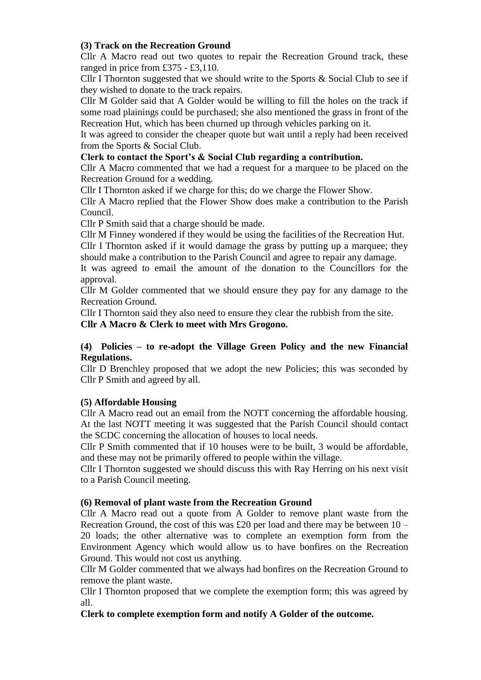# **(3) Track on the Recreation Ground**

Cllr A Macro read out two quotes to repair the Recreation Ground track, these ranged in price from £375 - £3,110.

Cllr I Thornton suggested that we should write to the Sports & Social Club to see if they wished to donate to the track repairs.

Cllr M Golder said that A Golder would be willing to fill the holes on the track if some road plainings could be purchased; she also mentioned the grass in front of the Recreation Hut, which has been churned up through vehicles parking on it.

It was agreed to consider the cheaper quote but wait until a reply had been received from the Sports & Social Club.

# **Clerk to contact the Sport's & Social Club regarding a contribution.**

Cllr A Macro commented that we had a request for a marquee to be placed on the Recreation Ground for a wedding.

Cllr I Thornton asked if we charge for this; do we charge the Flower Show.

Cllr A Macro replied that the Flower Show does make a contribution to the Parish Council.

Cllr P Smith said that a charge should be made.

Cllr M Finney wondered if they would be using the facilities of the Recreation Hut.

Cllr I Thornton asked if it would damage the grass by putting up a marquee; they should make a contribution to the Parish Council and agree to repair any damage.

It was agreed to email the amount of the donation to the Councillors for the approval.

Cllr M Golder commented that we should ensure they pay for any damage to the Recreation Ground.

Cllr I Thornton said they also need to ensure they clear the rubbish from the site.

**Cllr A Macro & Clerk to meet with Mrs Grogono.**

# **(4) Policies – to re-adopt the Village Green Policy and the new Financial Regulations.**

Cllr D Brenchley proposed that we adopt the new Policies; this was seconded by Cllr P Smith and agreed by all.

# **(5) Affordable Housing**

Cllr A Macro read out an email from the NOTT concerning the affordable housing. At the last NOTT meeting it was suggested that the Parish Council should contact the SCDC concerning the allocation of houses to local needs.

Cllr P Smith commented that if 10 houses were to be built, 3 would be affordable, and these may not be primarily offered to people within the village.

Cllr I Thornton suggested we should discuss this with Ray Herring on his next visit to a Parish Council meeting.

# **(6) Removal of plant waste from the Recreation Ground**

Cllr A Macro read out a quote from A Golder to remove plant waste from the Recreation Ground, the cost of this was £20 per load and there may be between 10 – 20 loads; the other alternative was to complete an exemption form from the Environment Agency which would allow us to have bonfires on the Recreation Ground. This would not cost us anything.

Cllr M Golder commented that we always had bonfires on the Recreation Ground to remove the plant waste.

Cllr I Thornton proposed that we complete the exemption form; this was agreed by all.

# **Clerk to complete exemption form and notify A Golder of the outcome.**